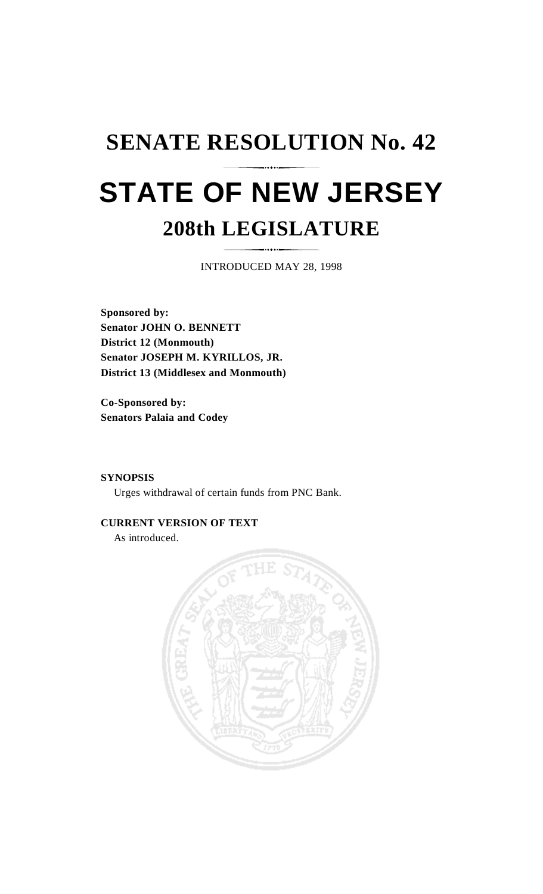## **SENATE RESOLUTION No. 42 STATE OF NEW JERSEY 208th LEGISLATURE**

INTRODUCED MAY 28, 1998

**Sponsored by: Senator JOHN O. BENNETT District 12 (Monmouth) Senator JOSEPH M. KYRILLOS, JR. District 13 (Middlesex and Monmouth)**

**Co-Sponsored by: Senators Palaia and Codey**

**SYNOPSIS** Urges withdrawal of certain funds from PNC Bank.

## **CURRENT VERSION OF TEXT**

As introduced.

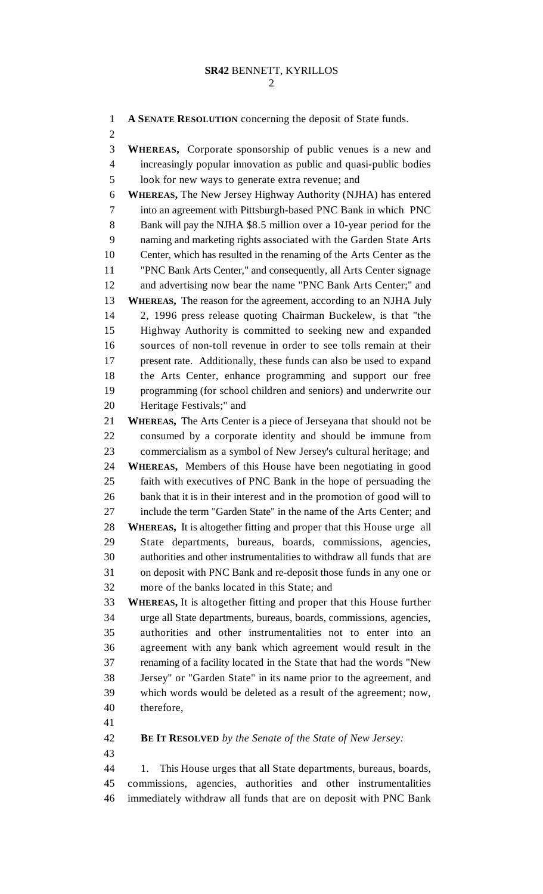**A SENATE RESOLUTION** concerning the deposit of State funds.

 **WHEREAS,** Corporate sponsorship of public venues is a new and increasingly popular innovation as public and quasi-public bodies look for new ways to generate extra revenue; and **WHEREAS,** The New Jersey Highway Authority (NJHA) has entered into an agreement with Pittsburgh-based PNC Bank in which PNC Bank will pay the NJHA \$8.5 million over a 10-year period for the naming and marketing rights associated with the Garden State Arts Center, which has resulted in the renaming of the Arts Center as the "PNC Bank Arts Center," and consequently, all Arts Center signage and advertising now bear the name "PNC Bank Arts Center;" and **WHEREAS,** The reason for the agreement, according to an NJHA July 2, 1996 press release quoting Chairman Buckelew, is that "the Highway Authority is committed to seeking new and expanded sources of non-toll revenue in order to see tolls remain at their present rate. Additionally, these funds can also be used to expand the Arts Center, enhance programming and support our free programming (for school children and seniors) and underwrite our Heritage Festivals;" and **WHEREAS,** The Arts Center is a piece of Jerseyana that should not be consumed by a corporate identity and should be immune from commercialism as a symbol of New Jersey's cultural heritage; and **WHEREAS,** Members of this House have been negotiating in good faith with executives of PNC Bank in the hope of persuading the bank that it is in their interest and in the promotion of good will to include the term "Garden State" in the name of the Arts Center; and **WHEREAS,** It is altogether fitting and proper that this House urge all State departments, bureaus, boards, commissions, agencies, authorities and other instrumentalities to withdraw all funds that are on deposit with PNC Bank and re-deposit those funds in any one or more of the banks located in this State; and **WHEREAS,** It is altogether fitting and proper that this House further urge all State departments, bureaus, boards, commissions, agencies, authorities and other instrumentalities not to enter into an agreement with any bank which agreement would result in the renaming of a facility located in the State that had the words "New Jersey" or "Garden State" in its name prior to the agreement, and which words would be deleted as a result of the agreement; now, therefore, **BE IT RESOLVED** *by the Senate of the State of New Jersey:* 1. This House urges that all State departments, bureaus, boards, commissions, agencies, authorities and other instrumentalities immediately withdraw all funds that are on deposit with PNC Bank